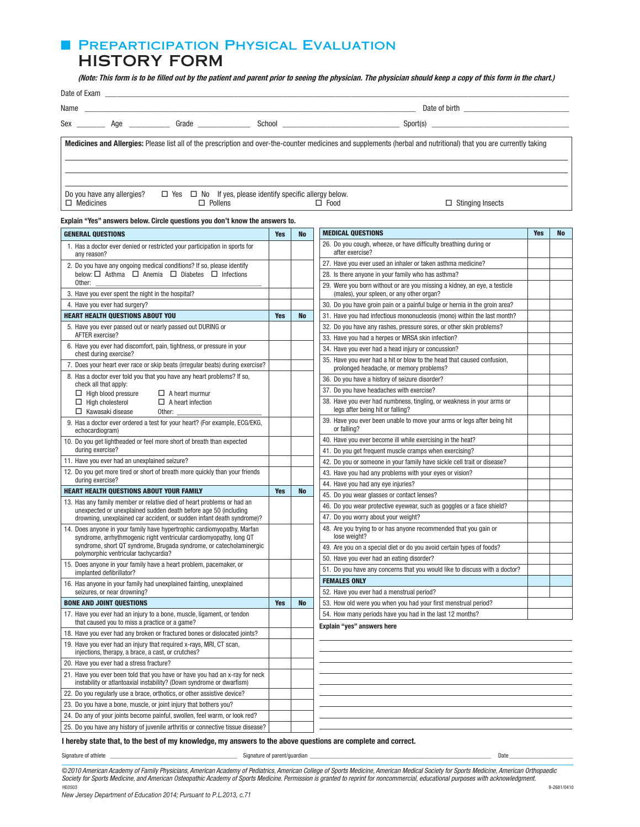# **E PREPARTICIPATION PHYSICAL EVALUATION**

# HISTORY FORM

(Note: This form is to be filled out by the patient and parent prior to seeing the physician. The physician should keep a copy of this form in the chart.)

| Name             | <u> 1980 - Andrea Station, amerikan bestehen alder als de station av de station av de station av de station av de</u> |                |                                                                      |                                                                                                                                                                    |
|------------------|-----------------------------------------------------------------------------------------------------------------------|----------------|----------------------------------------------------------------------|--------------------------------------------------------------------------------------------------------------------------------------------------------------------|
|                  |                                                                                                                       | Grade          |                                                                      |                                                                                                                                                                    |
|                  |                                                                                                                       |                |                                                                      | Medicines and Allergies: Please list all of the prescription and over-the-counter medicines and supplements (herbal and nutritional) that you are currently taking |
| $\Box$ Medicines | Do you have any allergies?                                                                                            | $\Box$ Pollens | $\Box$ Yes $\Box$ No If yes, please identify specific allergy below. | $\Box$ Food<br>$\Box$ Stinging Insects                                                                                                                             |

#### Explain "Yes" answers below. Circle questions you don't know the answers to.

| <b>GENERAL QUESTIONS</b>                                                                                                                            |            | <b>No</b> | <b>MEDICAL QUESTIONS</b>                                                                                               |  | <b>No</b> |
|-----------------------------------------------------------------------------------------------------------------------------------------------------|------------|-----------|------------------------------------------------------------------------------------------------------------------------|--|-----------|
| 1. Has a doctor ever denied or restricted your participation in sports for<br>any reason?                                                           |            |           | 26. Do you cough, wheeze, or have difficulty breathing during or<br>after exercise?                                    |  |           |
| 2. Do you have any ongoing medical conditions? If so, please identify                                                                               |            |           | 27. Have you ever used an inhaler or taken asthma medicine?                                                            |  |           |
| below: $\Box$ Asthma $\Box$ Anemia $\Box$ Diabetes $\Box$ Infections                                                                                |            |           | 28. Is there anyone in your family who has asthma?                                                                     |  |           |
| Other:<br>3. Have you ever spent the night in the hospital?                                                                                         |            |           | 29. Were you born without or are you missing a kidney, an eye, a testicle<br>(males), your spleen, or any other organ? |  |           |
| 4. Have you ever had surgery?                                                                                                                       |            |           | 30. Do you have groin pain or a painful bulge or hernia in the groin area?                                             |  |           |
| <b>HEART HEALTH QUESTIONS ABOUT YOU</b>                                                                                                             | <b>Yes</b> | <b>No</b> | 31. Have you had infectious mononucleosis (mono) within the last month?                                                |  |           |
| 5. Have you ever passed out or nearly passed out DURING or                                                                                          |            |           | 32. Do you have any rashes, pressure sores, or other skin problems?                                                    |  |           |
| AFTER exercise?                                                                                                                                     |            |           | 33. Have you had a herpes or MRSA skin infection?                                                                      |  |           |
| 6. Have you ever had discomfort, pain, tightness, or pressure in your                                                                               |            |           | 34. Have you ever had a head injury or concussion?                                                                     |  |           |
| chest during exercise?                                                                                                                              |            |           | 35. Have you ever had a hit or blow to the head that caused confusion,                                                 |  |           |
| 7. Does your heart ever race or skip beats (irregular beats) during exercise?                                                                       |            |           | prolonged headache, or memory problems?                                                                                |  |           |
| 8. Has a doctor ever told you that you have any heart problems? If so,<br>check all that apply:                                                     |            |           | 36. Do you have a history of seizure disorder?                                                                         |  |           |
| $\Box$ High blood pressure<br>$\Box$ A heart murmur                                                                                                 |            |           | 37. Do you have headaches with exercise?                                                                               |  |           |
| $\Box$ High cholesterol<br>$\Box$ A heart infection<br>$\Box$ Kawasaki disease<br>Other:                                                            |            |           | 38. Have you ever had numbness, tingling, or weakness in your arms or<br>legs after being hit or falling?              |  |           |
| 9. Has a doctor ever ordered a test for your heart? (For example, ECG/EKG,<br>echocardiogram)                                                       |            |           | 39. Have you ever been unable to move your arms or legs after being hit<br>or falling?                                 |  |           |
| 10. Do you get lightheaded or feel more short of breath than expected                                                                               |            |           | 40. Have you ever become ill while exercising in the heat?                                                             |  |           |
| during exercise?                                                                                                                                    |            |           | 41. Do you get frequent muscle cramps when exercising?                                                                 |  |           |
| 11. Have you ever had an unexplained seizure?                                                                                                       |            |           | 42. Do you or someone in your family have sickle cell trait or disease?                                                |  |           |
| 12. Do you get more tired or short of breath more quickly than your friends                                                                         |            |           | 43. Have you had any problems with your eyes or vision?                                                                |  |           |
| during exercise?                                                                                                                                    |            |           | 44. Have you had any eye injuries?                                                                                     |  |           |
| <b>HEART HEALTH QUESTIONS ABOUT YOUR FAMILY</b>                                                                                                     | <b>Yes</b> | <b>No</b> | 45. Do you wear glasses or contact lenses?                                                                             |  |           |
| 13. Has any family member or relative died of heart problems or had an<br>unexpected or unexplained sudden death before age 50 (including           |            |           | 46. Do you wear protective eyewear, such as goggles or a face shield?                                                  |  |           |
| drowning, unexplained car accident, or sudden infant death syndrome)?                                                                               |            |           | 47. Do you worry about your weight?                                                                                    |  |           |
| 14. Does anyone in your family have hypertrophic cardiomyopathy, Marfan<br>syndrome, arrhythmogenic right ventricular cardiomyopathy, long QT       |            |           | 48. Are you trying to or has anyone recommended that you gain or<br>lose weight?                                       |  |           |
| syndrome, short QT syndrome, Brugada syndrome, or catecholaminergic<br>polymorphic ventricular tachycardia?                                         |            |           | 49. Are you on a special diet or do you avoid certain types of foods?                                                  |  |           |
| 15. Does anyone in your family have a heart problem, pacemaker, or                                                                                  |            |           | 50. Have you ever had an eating disorder?                                                                              |  |           |
| implanted defibrillator?                                                                                                                            |            |           | 51. Do you have any concerns that you would like to discuss with a doctor?                                             |  |           |
| 16. Has anyone in your family had unexplained fainting, unexplained                                                                                 |            |           | <b>FEMALES ONLY</b>                                                                                                    |  |           |
| seizures, or near drowning?                                                                                                                         |            |           | 52. Have you ever had a menstrual period?                                                                              |  |           |
| <b>BONE AND JOINT QUESTIONS</b>                                                                                                                     |            | <b>No</b> | 53. How old were you when you had your first menstrual period?                                                         |  |           |
| 17. Have you ever had an injury to a bone, muscle, ligament, or tendon<br>that caused you to miss a practice or a game?                             |            |           | 54. How many periods have you had in the last 12 months?<br>Explain "yes" answers here                                 |  |           |
| 18. Have you ever had any broken or fractured bones or dislocated joints?                                                                           |            |           |                                                                                                                        |  |           |
| 19. Have you ever had an injury that required x-rays, MRI, CT scan,<br>injections, therapy, a brace, a cast, or crutches?                           |            |           |                                                                                                                        |  |           |
| 20. Have you ever had a stress fracture?                                                                                                            |            |           |                                                                                                                        |  |           |
| 21. Have you ever been told that you have or have you had an x-ray for neck<br>instability or atlantoaxial instability? (Down syndrome or dwarfism) |            |           |                                                                                                                        |  |           |
| 22. Do you regularly use a brace, orthotics, or other assistive device?                                                                             |            |           |                                                                                                                        |  |           |
| 23. Do you have a bone, muscle, or joint injury that bothers you?                                                                                   |            |           |                                                                                                                        |  |           |
| 24. Do any of your joints become painful, swollen, feel warm, or look red?                                                                          |            |           |                                                                                                                        |  |           |
| 25. Do you have any history of juvenile arthritis or connective tissue disease?                                                                     |            |           |                                                                                                                        |  |           |

## I hereby state that, to the best of my knowledge, my answers to the above questions are complete and correct.

Signature of athlete \_\_\_\_\_\_\_\_\_\_\_\_\_\_\_\_\_\_\_\_\_\_\_\_\_\_\_\_\_\_\_\_\_\_\_\_\_\_\_\_\_\_ Signature of parent/guardian \_\_\_\_\_\_\_\_\_\_\_\_\_\_\_\_\_\_\_\_\_\_\_\_\_\_\_\_\_\_\_\_\_\_\_\_\_\_\_\_\_\_\_\_\_\_\_\_\_\_\_\_\_\_\_\_\_\_\_\_ Date \_\_\_\_\_\_\_\_\_\_\_\_\_\_\_\_\_\_\_\_\_

©2010 American Academy of Family Physicians, American Academy of Pediatrics, American College of Sports Medicine, American Medical Society for Sports Medicine, American Orthopaedic<br>Society for Sports Medicine, and American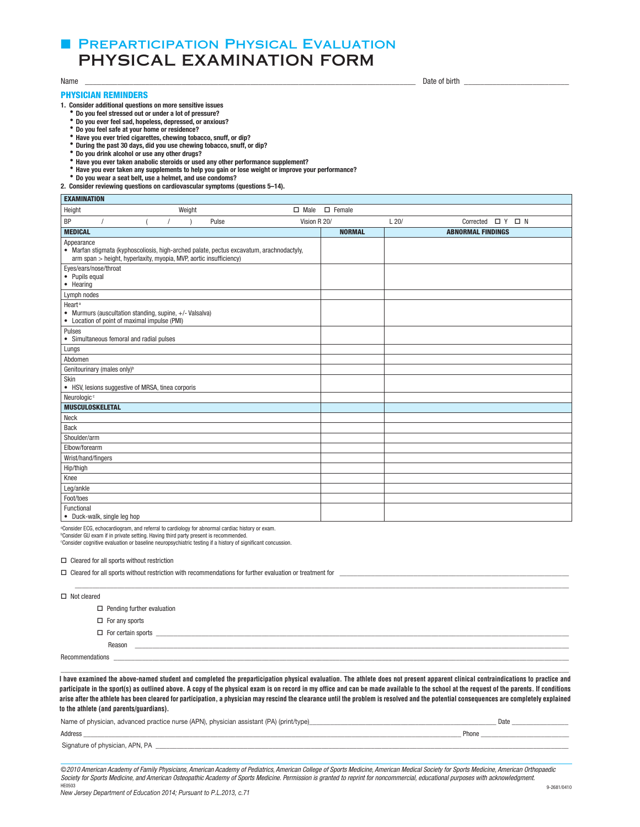## **E PREPARTICIPATION PHYSICAL EVALUATION** PHYSICAL EXAMINATION FORM

EXAMINATION

### PHYSICIAN REMINDERS

1. Consider additional questions on more sensitive issues

- Do you feel stressed out or under a lot of pressure?
- $\bullet$  Do you ever feel sad, hopeless, depressed, or anxious?
- $\bullet$  Do you feel safe at your home or residence?
- $\bullet$  Have you ever tried cigarettes, chewing tobacco, snuff, or dip?
- \* During the past 30 days, did you use chewing tobacco, snuff, or dip?
- $\bullet$  Do you drink alcohol or use any other drugs?
- **Have you ever taken anabolic steroids or used any other performance supplement?**
- \* Have you ever taken any supplements to help you gain or lose weight or improve your performance?<br>\* Do you wear a seat belt, use a helmet, and use condoms?
- 

2. Consider reviewing questions on cardiovascular symptoms (questions 5-14).

| <b>EXAMINATION</b>                                                                                                            |                                                                    |        |                                                                                          |              |               |      |                             |  |  |
|-------------------------------------------------------------------------------------------------------------------------------|--------------------------------------------------------------------|--------|------------------------------------------------------------------------------------------|--------------|---------------|------|-----------------------------|--|--|
| Height                                                                                                                        |                                                                    | Weight |                                                                                          | $\Box$ Male  | $\Box$ Female |      |                             |  |  |
| BP<br>$\prime$                                                                                                                |                                                                    |        | Pulse                                                                                    | Vision R 20/ |               | L20/ | Corrected $\Box$ Y $\Box$ N |  |  |
| <b>MEDICAL</b>                                                                                                                |                                                                    |        |                                                                                          |              | <b>NORMAL</b> |      | <b>ABNORMAL FINDINGS</b>    |  |  |
| Appearance                                                                                                                    | arm span > height, hyperlaxity, myopia, MVP, aortic insufficiency) |        | • Marfan stigmata (kyphoscoliosis, high-arched palate, pectus excavatum, arachnodactyly, |              |               |      |                             |  |  |
| Eyes/ears/nose/throat<br>• Pupils equal<br>• Hearing                                                                          |                                                                    |        |                                                                                          |              |               |      |                             |  |  |
| Lymph nodes                                                                                                                   |                                                                    |        |                                                                                          |              |               |      |                             |  |  |
| Heart <sup>a</sup><br>• Murmurs (auscultation standing, supine, +/- Valsalva)<br>• Location of point of maximal impulse (PMI) |                                                                    |        |                                                                                          |              |               |      |                             |  |  |
| Pulses<br>• Simultaneous femoral and radial pulses                                                                            |                                                                    |        |                                                                                          |              |               |      |                             |  |  |
| Lungs                                                                                                                         |                                                                    |        |                                                                                          |              |               |      |                             |  |  |
| Abdomen                                                                                                                       |                                                                    |        |                                                                                          |              |               |      |                             |  |  |
| Genitourinary (males only) <sup>b</sup>                                                                                       |                                                                    |        |                                                                                          |              |               |      |                             |  |  |
| Skin<br>• HSV, lesions suggestive of MRSA, tinea corporis                                                                     |                                                                    |        |                                                                                          |              |               |      |                             |  |  |
| Neurologic <sup>c</sup>                                                                                                       |                                                                    |        |                                                                                          |              |               |      |                             |  |  |
| <b>MUSCULOSKELETAL</b>                                                                                                        |                                                                    |        |                                                                                          |              |               |      |                             |  |  |
| <b>Neck</b>                                                                                                                   |                                                                    |        |                                                                                          |              |               |      |                             |  |  |
| <b>Back</b>                                                                                                                   |                                                                    |        |                                                                                          |              |               |      |                             |  |  |
| Shoulder/arm                                                                                                                  |                                                                    |        |                                                                                          |              |               |      |                             |  |  |
| Elbow/forearm                                                                                                                 |                                                                    |        |                                                                                          |              |               |      |                             |  |  |
| Wrist/hand/fingers                                                                                                            |                                                                    |        |                                                                                          |              |               |      |                             |  |  |
| Hip/thigh                                                                                                                     |                                                                    |        |                                                                                          |              |               |      |                             |  |  |
| Knee                                                                                                                          |                                                                    |        |                                                                                          |              |               |      |                             |  |  |
| Leg/ankle                                                                                                                     |                                                                    |        |                                                                                          |              |               |      |                             |  |  |
| Foot/toes                                                                                                                     |                                                                    |        |                                                                                          |              |               |      |                             |  |  |
| Functional<br>• Duck-walk, single leg hop                                                                                     |                                                                    |        |                                                                                          |              |               |      |                             |  |  |

<sup>a</sup>Consider ECG, echocardiogram, and referral to cardiology for abnormal cardiac history or exam.

<sup>ь</sup>Consider GU exam if in private setting. Having third party present is recommended.<br><sup>c</sup>Consider cognitive evaluation or baseline neuropsychiatric testing if a history of significant concussion.

 $\Box$  Cleared for all sports without restriction

| $\Box$ Cleared for all sports without restriction with recommendations for further evaluation or treatment for |                                                                                                                       |  |  |  |  |  |
|----------------------------------------------------------------------------------------------------------------|-----------------------------------------------------------------------------------------------------------------------|--|--|--|--|--|
|                                                                                                                |                                                                                                                       |  |  |  |  |  |
| $\Box$ Not cleared                                                                                             |                                                                                                                       |  |  |  |  |  |
|                                                                                                                | $\Box$ Pending further evaluation                                                                                     |  |  |  |  |  |
| $\Box$ For any sports                                                                                          |                                                                                                                       |  |  |  |  |  |
| $\Box$ For certain sports                                                                                      | <u> 1980 - Jan James Santan, masjid a shekara ta 1980 a shekara ta 1980 a shekara ta 1980 a shekara ta 1980 a she</u> |  |  |  |  |  |
| Reason                                                                                                         |                                                                                                                       |  |  |  |  |  |
|                                                                                                                |                                                                                                                       |  |  |  |  |  |
|                                                                                                                |                                                                                                                       |  |  |  |  |  |

I have examined the above-named student and completed the preparticipation physical evaluation. The athlete does not present apparent clinical contraindications to practice and participate in the sport(s) as outlined above. A copy of the physical exam is on record in my office and can be made available to the school at the request of the parents. If conditions arise after the athlete has been cleared for participation, a physician may rescind the clearance until the problem is resolved and the potential consequences are completely explained explained to the athlete (and parents/guardians). **to the athlete (and parents/guardians).**

| Name of physician, advanced practice nurse (APN), physician assistant (PA) (print/type) |       |
|-----------------------------------------------------------------------------------------|-------|
| Address                                                                                 | Phone |
| Signature of physician, APN, PA                                                         |       |

©2010 American Academy of Family Physicians, American Academy of Pediatrics, American College of Sports Medicine, American Medical Society for Sports Medicine, American Orthopaedic Society for Sports Medicine, and American Osteopathic Academy of Sports Medicine. Permission is granted to reprint for noncommercial, educational purposes with acknowledgment.

Name \_\_\_\_\_\_\_\_\_\_\_\_\_\_\_\_\_\_\_\_\_\_\_\_\_\_\_\_\_\_\_\_\_\_\_\_\_\_\_\_\_\_\_\_\_\_\_\_\_\_\_\_\_\_\_\_\_\_\_\_\_\_\_\_\_\_\_\_\_\_\_\_\_\_\_\_\_\_\_\_\_\_ Date of birth \_\_\_\_\_\_\_\_\_\_\_\_\_\_\_\_\_\_\_\_\_\_\_\_\_\_